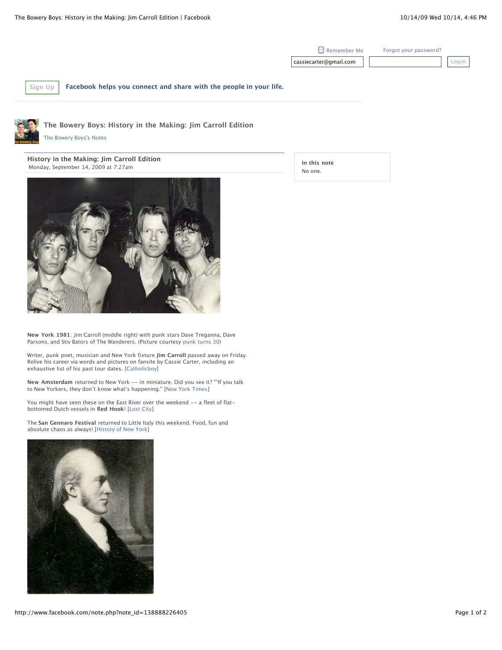Remember Me [Forgot your password?](http://www.facebook.com/reset.php) cassiecarter@gmail.com **Login**

**[Sign Up](http://www.facebook.com/r.php?locale=en_US) Facebook helps you connect and share with the people in your life.**



**The Bowery Boys: History in the Making: Jim Carroll Edition**

[The Bowery Boys's Notes](http://www.facebook.com/notes.php?id=19455080330)

**History in the Making: Jim Carroll Edition** Monday, September 14, 2009 at 7:27am





**New York 1981**: Jim Carroll (middle right) with punk stars Dave Treganna, Dave Parsons, and Stiv Bators of The Wanderers. (Picture courtesy [punk turns 30\)](http://www.facebook.com/note_redirect.php?note_id=138888226405&h=ca340848d6c30cc53ff08d100c67e588&url=http%3A%2F%2Fpunkturns30.blogspot.com%2F2008%2F09%2Fwandering-into-jim-carroll.html)

Writer, punk poet, musician and New York fixture **Jim Carroll** passed away on Friday. Relive his career via words and pictures on fansite by Cassie Carter, including an exhaustive list of his past tour dates. [\[Catholicboy](http://www.facebook.com/note_redirect.php?note_id=138888226405&h=b657fa8a019fbbd7959e784b93da3e41&url=http%3A%2F%2Fcatholicboy.com%2F)]

**New Amsterdam** returned to New York -- in miniature. Did you see it? ""If you talk to New Yorkers, they don't know what's happening." [[New York Times\]](http://www.facebook.com/note_redirect.php?note_id=138888226405&h=1c499fed76473cfda52b9789b5ff2448&url=http%3A%2F%2Fwww.nytimes.com%2F2009%2F09%2F14%2Fnyregion%2F14dutch.html%3Fem)

You might have seen these on the East River over the weekend -- a fleet of flatbottomed Dutch vessels in **Red Hook**! [[Lost City\]](http://www.facebook.com/note_redirect.php?note_id=138888226405&h=d63520649f509f1b7574db0d0d19fcf5&url=http%3A%2F%2Flostnewyorkcity.blogspot.com%2F2009%2F09%2Fflat-bottomed-dutch-boats.html)

The **San Gennaro Festival** returned to Little Italy this weekend. Food, fun and absolute chaos as always! [[History of New York](http://www.facebook.com/note_redirect.php?note_id=138888226405&h=d70e47b01050962d16ced0a954c1a473&url=http%3A%2F%2Fahistoryofnewyork.com%2F2009%2F09%2Fphotos-my-daughters-took-at-sa.html)]